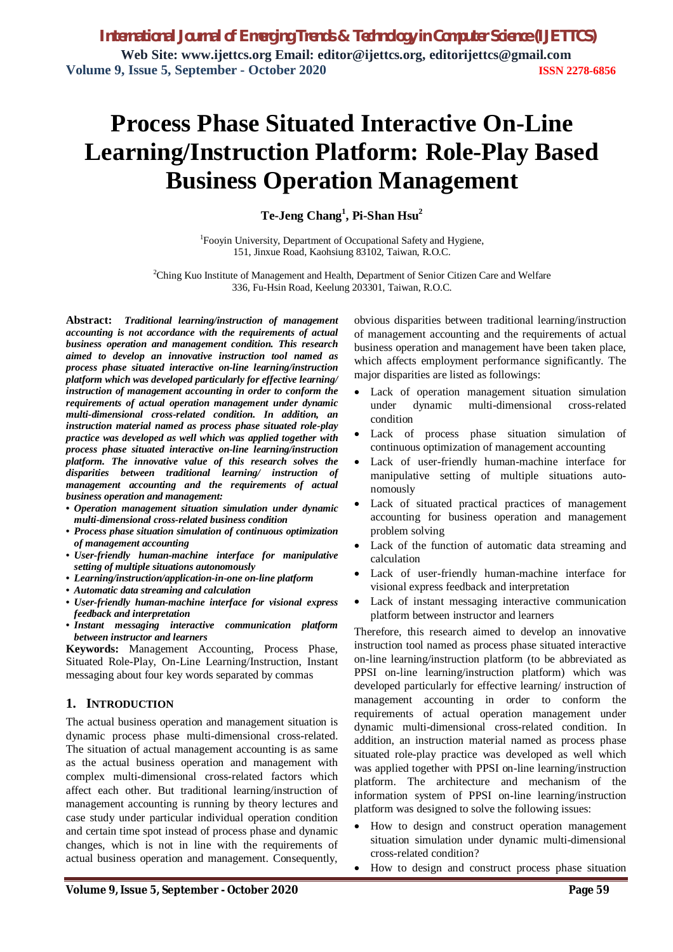# **Process Phase Situated Interactive On-Line Learning/Instruction Platform: Role-Play Based Business Operation Management**

**Te-Jeng Chang<sup>1</sup> , Pi-Shan Hsu<sup>2</sup>**

<sup>1</sup>Fooyin University, Department of Occupational Safety and Hygiene, 151, Jinxue Road, Kaohsiung 83102, Taiwan, R.O.C.

<sup>2</sup>Ching Kuo Institute of Management and Health, Department of Senior Citizen Care and Welfare 336, Fu-Hsin Road, Keelung 203301, Taiwan, R.O.C.

**Abstract:** *Traditional learning/instruction of management accounting is not accordance with the requirements of actual business operation and management condition. This research aimed to develop an innovative instruction tool named as process phase situated interactive on-line learning/instruction platform which was developed particularly for effective learning/ instruction of management accounting in order to conform the requirements of actual operation management under dynamic multi-dimensional cross-related condition. In addition, an instruction material named as process phase situated role-play practice was developed as well which was applied together with process phase situated interactive on-line learning/instruction platform. The innovative value of this research solves the disparities between traditional learning/ instruction of management accounting and the requirements of actual business operation and management:* 

- *Operation management situation simulation under dynamic multi-dimensional cross-related business condition*
- *Process phase situation simulation of continuous optimization of management accounting*
- *User-friendly human-machine interface for manipulative setting of multiple situations autonomously*
- *Learning/instruction/application-in-one on-line platform*
- *Automatic data streaming and calculation*
- *User-friendly human-machine interface for visional express feedback and interpretation*
- *Instant messaging interactive communication platform between instructor and learners*

**Keywords:** Management Accounting, Process Phase, Situated Role-Play, On-Line Learning/Instruction, Instant messaging about four key words separated by commas

## **1. INTRODUCTION**

The actual business operation and management situation is dynamic process phase multi-dimensional cross-related. The situation of actual management accounting is as same as the actual business operation and management with complex multi-dimensional cross-related factors which affect each other. But traditional learning/instruction of management accounting is running by theory lectures and case study under particular individual operation condition and certain time spot instead of process phase and dynamic changes, which is not in line with the requirements of actual business operation and management. Consequently,

obvious disparities between traditional learning/instruction of management accounting and the requirements of actual business operation and management have been taken place, which affects employment performance significantly. The major disparities are listed as followings:

- Lack of operation management situation simulation under dynamic multi-dimensional cross-related condition
- Lack of process phase situation simulation of continuous optimization of management accounting
- Lack of user-friendly human-machine interface for manipulative setting of multiple situations autonomously
- Lack of situated practical practices of management accounting for business operation and management problem solving
- Lack of the function of automatic data streaming and calculation
- Lack of user-friendly human-machine interface for visional express feedback and interpretation
- Lack of instant messaging interactive communication platform between instructor and learners

Therefore, this research aimed to develop an innovative instruction tool named as process phase situated interactive on-line learning/instruction platform (to be abbreviated as PPSI on-line learning/instruction platform) which was developed particularly for effective learning/ instruction of management accounting in order to conform the requirements of actual operation management under dynamic multi-dimensional cross-related condition. In addition, an instruction material named as process phase situated role-play practice was developed as well which was applied together with PPSI on-line learning/instruction platform. The architecture and mechanism of the information system of PPSI on-line learning/instruction platform was designed to solve the following issues:

- How to design and construct operation management situation simulation under dynamic multi-dimensional cross-related condition?
- How to design and construct process phase situation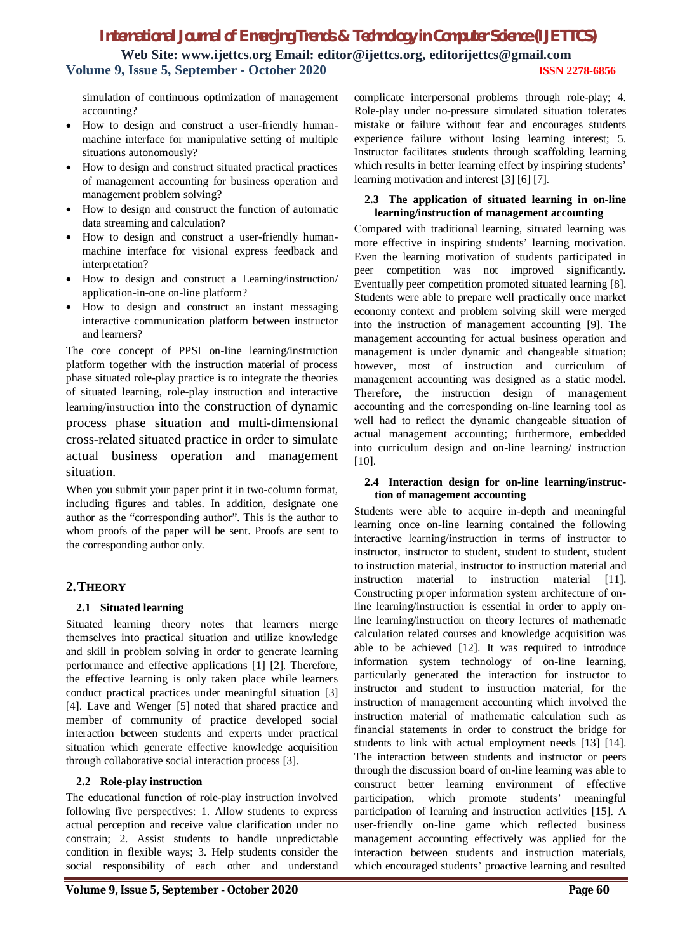# *International Journal of Emerging Trends & Technology in Computer Science (IJETTCS)* **Web Site: www.ijettcs.org Email: editor@ijettcs.org, editorijettcs@gmail.com Volume 9, Issue 5, September - October 2020 ISSN 2278-6856**

simulation of continuous optimization of management accounting?

- How to design and construct a user-friendly humanmachine interface for manipulative setting of multiple situations autonomously?
- How to design and construct situated practical practices of management accounting for business operation and management problem solving?
- How to design and construct the function of automatic data streaming and calculation?
- How to design and construct a user-friendly humanmachine interface for visional express feedback and interpretation?
- How to design and construct a Learning/instruction/ application-in-one on-line platform?
- How to design and construct an instant messaging interactive communication platform between instructor and learners?

The core concept of PPSI on-line learning/instruction platform together with the instruction material of process phase situated role-play practice is to integrate the theories of situated learning, role-play instruction and interactive learning/instruction into the construction of dynamic process phase situation and multi-dimensional cross-related situated practice in order to simulate actual business operation and management situation.

When you submit your paper print it in two-column format, including figures and tables. In addition, designate one author as the "corresponding author". This is the author to whom proofs of the paper will be sent. Proofs are sent to the corresponding author only.

## **2.THEORY**

## **2.1 Situated learning**

Situated learning theory notes that learners merge themselves into practical situation and utilize knowledge and skill in problem solving in order to generate learning performance and effective applications [1] [2]. Therefore, the effective learning is only taken place while learners conduct practical practices under meaningful situation [3] [4]. Lave and Wenger [5] noted that shared practice and member of community of practice developed social interaction between students and experts under practical situation which generate effective knowledge acquisition through collaborative social interaction process [3].

## **2.2 Role-play instruction**

The educational function of role-play instruction involved following five perspectives: 1. Allow students to express actual perception and receive value clarification under no constrain; 2. Assist students to handle unpredictable condition in flexible ways; 3. Help students consider the social responsibility of each other and understand

complicate interpersonal problems through role-play; 4. Role-play under no-pressure simulated situation tolerates mistake or failure without fear and encourages students experience failure without losing learning interest; 5. Instructor facilitates students through scaffolding learning which results in better learning effect by inspiring students' learning motivation and interest [3] [6] [7].

#### **2.3 The application of situated learning in on-line learning/instruction of management accounting**

Compared with traditional learning, situated learning was more effective in inspiring students' learning motivation. Even the learning motivation of students participated in peer competition was not improved significantly. Eventually peer competition promoted situated learning [8]. Students were able to prepare well practically once market economy context and problem solving skill were merged into the instruction of management accounting [9]. The management accounting for actual business operation and management is under dynamic and changeable situation; however, most of instruction and curriculum of management accounting was designed as a static model. Therefore, the instruction design of management accounting and the corresponding on-line learning tool as well had to reflect the dynamic changeable situation of actual management accounting; furthermore, embedded into curriculum design and on-line learning/ instruction [10].

## **2.4 Interaction design for on-line learning/instruction of management accounting**

Students were able to acquire in-depth and meaningful learning once on-line learning contained the following interactive learning/instruction in terms of instructor to instructor, instructor to student, student to student, student to instruction material, instructor to instruction material and instruction material to instruction material [11]. Constructing proper information system architecture of online learning/instruction is essential in order to apply online learning/instruction on theory lectures of mathematic calculation related courses and knowledge acquisition was able to be achieved [12]. It was required to introduce information system technology of on-line learning, particularly generated the interaction for instructor to instructor and student to instruction material, for the instruction of management accounting which involved the instruction material of mathematic calculation such as financial statements in order to construct the bridge for students to link with actual employment needs [13] [14]. The interaction between students and instructor or peers through the discussion board of on-line learning was able to construct better learning environment of effective participation, which promote students' meaningful participation of learning and instruction activities [15]. A user-friendly on-line game which reflected business management accounting effectively was applied for the interaction between students and instruction materials, which encouraged students' proactive learning and resulted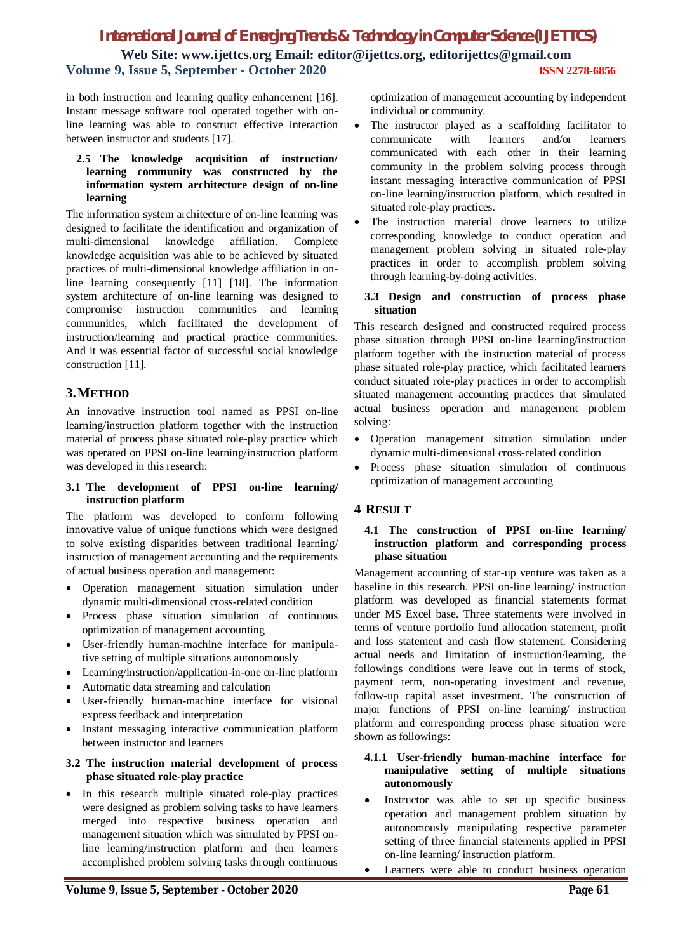## *International Journal of Emerging Trends & Technology in Computer Science (IJETTCS)* **Web Site: www.ijettcs.org Email: editor@ijettcs.org, editorijettcs@gmail.com Volume 9, Issue 5, September - October 2020 ISSN 2278-6856**

in both instruction and learning quality enhancement [16]. Instant message software tool operated together with online learning was able to construct effective interaction between instructor and students [17].

## **2.5 The knowledge acquisition of instruction/ learning community was constructed by the information system architecture design of on-line learning**

The information system architecture of on-line learning was designed to facilitate the identification and organization of multi-dimensional knowledge affiliation. Complete knowledge acquisition was able to be achieved by situated practices of multi-dimensional knowledge affiliation in online learning consequently [11] [18]. The information system architecture of on-line learning was designed to compromise instruction communities and learning communities, which facilitated the development of instruction/learning and practical practice communities. And it was essential factor of successful social knowledge construction [11].

## **3.METHOD**

An innovative instruction tool named as PPSI on-line learning/instruction platform together with the instruction material of process phase situated role-play practice which was operated on PPSI on-line learning/instruction platform was developed in this research:

#### **3.1 The development of PPSI on-line learning/ instruction platform**

The platform was developed to conform following innovative value of unique functions which were designed to solve existing disparities between traditional learning/ instruction of management accounting and the requirements of actual business operation and management:

- Operation management situation simulation under dynamic multi-dimensional cross-related condition
- Process phase situation simulation of continuous optimization of management accounting
- User-friendly human-machine interface for manipulative setting of multiple situations autonomously
- Learning/instruction/application-in-one on-line platform
- Automatic data streaming and calculation
- User-friendly human-machine interface for visional express feedback and interpretation
- Instant messaging interactive communication platform between instructor and learners

## **3.2 The instruction material development of process phase situated role-play practice**

• In this research multiple situated role-play practices were designed as problem solving tasks to have learners merged into respective business operation and management situation which was simulated by PPSI online learning/instruction platform and then learners accomplished problem solving tasks through continuous

optimization of management accounting by independent individual or community.

- The instructor played as a scaffolding facilitator to communicate with learners and/or learners communicated with each other in their learning community in the problem solving process through instant messaging interactive communication of PPSI on-line learning/instruction platform, which resulted in situated role-play practices.
- The instruction material drove learners to utilize corresponding knowledge to conduct operation and management problem solving in situated role-play practices in order to accomplish problem solving through learning-by-doing activities.

## **3.3 Design and construction of process phase situation**

This research designed and constructed required process phase situation through PPSI on-line learning/instruction platform together with the instruction material of process phase situated role-play practice, which facilitated learners conduct situated role-play practices in order to accomplish situated management accounting practices that simulated actual business operation and management problem solving:

- Operation management situation simulation under dynamic multi-dimensional cross-related condition
- Process phase situation simulation of continuous optimization of management accounting

## **4 RESULT**

## **4.1 The construction of PPSI on-line learning/ instruction platform and corresponding process phase situation**

Management accounting of star-up venture was taken as a baseline in this research. PPSI on-line learning/ instruction platform was developed as financial statements format under MS Excel base. Three statements were involved in terms of venture portfolio fund allocation statement, profit and loss statement and cash flow statement. Considering actual needs and limitation of instruction/learning, the followings conditions were leave out in terms of stock, payment term, non-operating investment and revenue, follow-up capital asset investment. The construction of major functions of PPSI on-line learning/ instruction platform and corresponding process phase situation were shown as followings:

## **4.1.1 User-friendly human-machine interface for manipulative setting of multiple situations autonomously**

- Instructor was able to set up specific business operation and management problem situation by autonomously manipulating respective parameter setting of three financial statements applied in PPSI on-line learning/ instruction platform.
- Learners were able to conduct business operation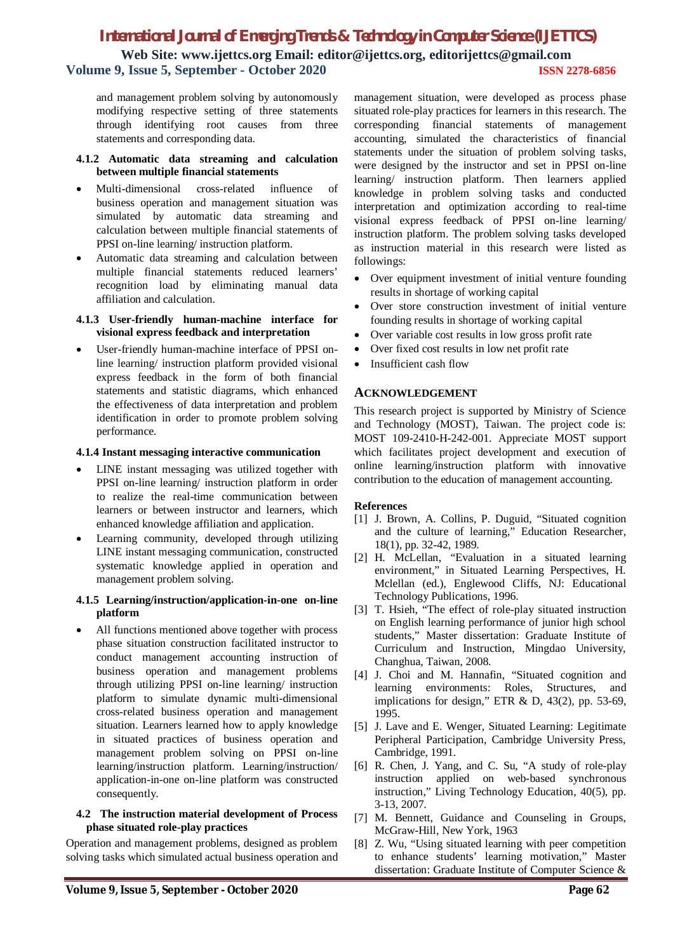# *International Journal of Emerging Trends & Technology in Computer Science (IJETTCS)* **Web Site: www.ijettcs.org Email: editor@ijettcs.org, editorijettcs@gmail.com Volume 9, Issue 5, September - October 2020 ISSN 2278-6856**

and management problem solving by autonomously modifying respective setting of three statements through identifying root causes from three statements and corresponding data.

#### **4.1.2 Automatic data streaming and calculation between multiple financial statements**

- Multi-dimensional cross-related influence of business operation and management situation was simulated by automatic data streaming and calculation between multiple financial statements of PPSI on-line learning/ instruction platform.
- Automatic data streaming and calculation between multiple financial statements reduced learners' recognition load by eliminating manual data affiliation and calculation.

## **4.1.3 User-friendly human-machine interface for visional express feedback and interpretation**

 User-friendly human-machine interface of PPSI online learning/ instruction platform provided visional express feedback in the form of both financial statements and statistic diagrams, which enhanced the effectiveness of data interpretation and problem identification in order to promote problem solving performance.

## **4.1.4 Instant messaging interactive communication**

- LINE instant messaging was utilized together with PPSI on-line learning/ instruction platform in order to realize the real-time communication between learners or between instructor and learners, which enhanced knowledge affiliation and application.
- Learning community, developed through utilizing LINE instant messaging communication, constructed systematic knowledge applied in operation and management problem solving.

## **4.1.5 Learning/instruction/application-in-one on-line platform**

 All functions mentioned above together with process phase situation construction facilitated instructor to conduct management accounting instruction of business operation and management problems through utilizing PPSI on-line learning/ instruction platform to simulate dynamic multi-dimensional cross-related business operation and management situation. Learners learned how to apply knowledge in situated practices of business operation and management problem solving on PPSI on-line learning/instruction platform. Learning/instruction/ application-in-one on-line platform was constructed consequently.

## **4.2 The instruction material development of Process phase situated role-play practices**

Operation and management problems, designed as problem solving tasks which simulated actual business operation and

management situation, were developed as process phase situated role-play practices for learners in this research. The corresponding financial statements of management accounting, simulated the characteristics of financial statements under the situation of problem solving tasks, were designed by the instructor and set in PPSI on-line learning/ instruction platform. Then learners applied knowledge in problem solving tasks and conducted interpretation and optimization according to real-time visional express feedback of PPSI on-line learning/ instruction platform. The problem solving tasks developed as instruction material in this research were listed as followings:

- Over equipment investment of initial venture founding results in shortage of working capital
- Over store construction investment of initial venture founding results in shortage of working capital
- Over variable cost results in low gross profit rate
- Over fixed cost results in low net profit rate
- Insufficient cash flow

## **ACKNOWLEDGEMENT**

This research project is supported by Ministry of Science and Technology (MOST), Taiwan. The project code is: MOST 109-2410-H-242-001. Appreciate MOST support which facilitates project development and execution of online learning/instruction platform with innovative contribution to the education of management accounting.

## **References**

- [1] J. Brown, A. Collins, P. Duguid, "Situated cognition and the culture of learning," Education Researcher, 18(1), pp. 32-42, 1989.
- [2] H. McLellan, "Evaluation in a situated learning environment," in Situated Learning Perspectives, H. Mclellan (ed.), Englewood Cliffs, NJ: Educational Technology Publications, 1996.
- [3] T. Hsieh, "The effect of role-play situated instruction on English learning performance of junior high school students," Master dissertation: Graduate Institute of Curriculum and Instruction, Mingdao University, Changhua, Taiwan, 2008.
- [4] J. Choi and M. Hannafin, "Situated cognition and learning environments: Roles, Structures, and implications for design," ETR  $& D, 43(2), pp. 53-69,$ 1995.
- [5] J. Lave and E. Wenger, Situated Learning: Legitimate Peripheral Participation, Cambridge University Press, Cambridge, 1991.
- [6] R. Chen, J. Yang, and C. Su, "A study of role-play instruction applied on web-based synchronous instruction," Living Technology Education, 40(5), pp. 3-13, 2007.
- [7] M. Bennett, Guidance and Counseling in Groups, McGraw-Hill, New York, 1963
- [8] Z. Wu, "Using situated learning with peer competition to enhance students' learning motivation," Master dissertation: Graduate Institute of Computer Science &